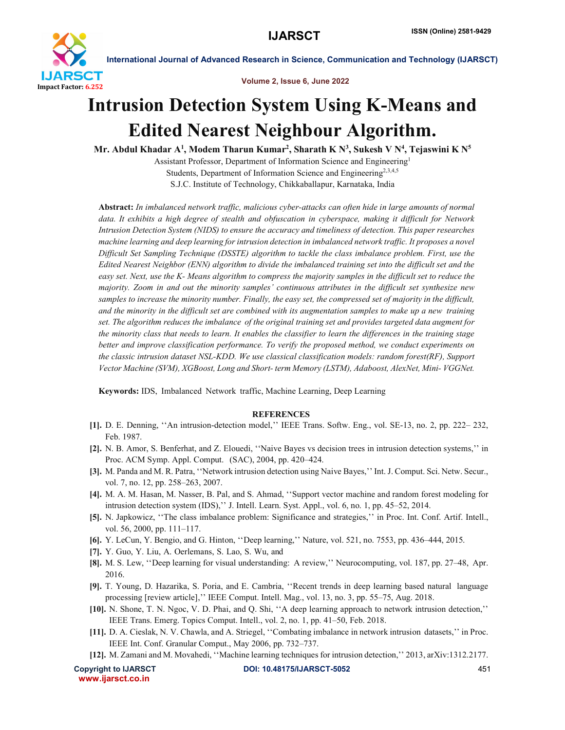

International Journal of Advanced Research in Science, Communication and Technology (IJARSCT)

Volume 2, Issue 6, June 2022

## Intrusion Detection System Using K-Means and Edited Nearest Neighbour Algorithm.

Mr. Abdul Khadar A $^1$ , Modem Tharun Kumar $^2$ , Sharath K N $^3$ , Sukesh V N $^4$ , Tejaswini K N $^5$ 

Assistant Professor, Department of Information Science and Engineering1 Students, Department of Information Science and Engineering<sup>2,3,4,5</sup>

S.J.C. Institute of Technology, Chikkaballapur, Karnataka, India

Abstract: *In imbalanced network traffic, malicious cyber-attacks can often hide in large amounts of normal data. It exhibits a high degree of stealth and obfuscation in cyberspace, making it difficult for Network Intrusion Detection System (NIDS) to ensure the accuracy and timeliness of detection. This paper researches machine learning and deep learning for intrusion detection in imbalanced network traffic. It proposes a novel Difficult Set Sampling Technique (DSSTE) algorithm to tackle the class imbalance problem. First, use the Edited Nearest Neighbor (ENN) algorithm to divide the imbalanced training set into the difficult set and the easy set. Next, use the K- Means algorithm to compress the majority samples in the difficult set to reduce the majority. Zoom in and out the minority samples' continuous attributes in the difficult set synthesize new samples to increase the minority number. Finally, the easy set, the compressed set of majority in the difficult, and the minority in the difficult set are combined with its augmentation samples to make up a new training set. The algorithm reduces the imbalance of the original training set and provides targeted data augment for the minority class that needs to learn. It enables the classifier to learn the differences in the training stage better and improve classification performance. To verify the proposed method, we conduct experiments on the classic intrusion dataset NSL-KDD. We use classical classification models: random forest(RF), Support Vector Machine (SVM), XGBoost, Long and Short- term Memory (LSTM), Adaboost, AlexNet, Mini- VGGNet.*

Keywords: IDS, Imbalanced Network traffic, Machine Learning, Deep Learning

## **REFERENCES**

- [1]. D. E. Denning, ''An intrusion-detection model,'' IEEE Trans. Softw. Eng., vol. SE-13, no. 2, pp. 222– 232, Feb. 1987.
- [2]. N. B. Amor, S. Benferhat, and Z. Elouedi, ''Naive Bayes vs decision trees in intrusion detection systems,'' in Proc. ACM Symp. Appl. Comput. (SAC), 2004, pp. 420–424.
- [3]. M. Panda and M. R. Patra, ''Network intrusion detection using Naive Bayes,'' Int. J. Comput. Sci. Netw. Secur., vol. 7, no. 12, pp. 258–263, 2007.
- [4]. M. A. M. Hasan, M. Nasser, B. Pal, and S. Ahmad, ''Support vector machine and random forest modeling for intrusion detection system (IDS),'' J. Intell. Learn. Syst. Appl., vol. 6, no. 1, pp. 45–52, 2014.
- [5]. N. Japkowicz, ''The class imbalance problem: Significance and strategies,'' in Proc. Int. Conf. Artif. Intell., vol. 56, 2000, pp. 111–117.
- [6]. Y. LeCun, Y. Bengio, and G. Hinton, ''Deep learning,'' Nature, vol. 521, no. 7553, pp. 436–444, 2015.
- [7]. Y. Guo, Y. Liu, A. Oerlemans, S. Lao, S. Wu, and
- [8]. M. S. Lew, ''Deep learning for visual understanding: A review,'' Neurocomputing, vol. 187, pp. 27–48, Apr. 2016.
- [9]. T. Young, D. Hazarika, S. Poria, and E. Cambria, ''Recent trends in deep learning based natural language processing [review article],'' IEEE Comput. Intell. Mag., vol. 13, no. 3, pp. 55–75, Aug. 2018.
- [10]. N. Shone, T. N. Ngoc, V. D. Phai, and Q. Shi, ''A deep learning approach to network intrusion detection,'' IEEE Trans. Emerg. Topics Comput. Intell., vol. 2, no. 1, pp. 41–50, Feb. 2018.
- [11]. D. A. Cieslak, N. V. Chawla, and A. Striegel, ''Combating imbalance in network intrusion datasets,'' in Proc. IEEE Int. Conf. Granular Comput., May 2006, pp. 732–737.
- [12]. M. Zamani and M. Movahedi, ''Machine learning techniques for intrusion detection,'' 2013, arXiv:1312.2177.

www.ijarsct.co.in